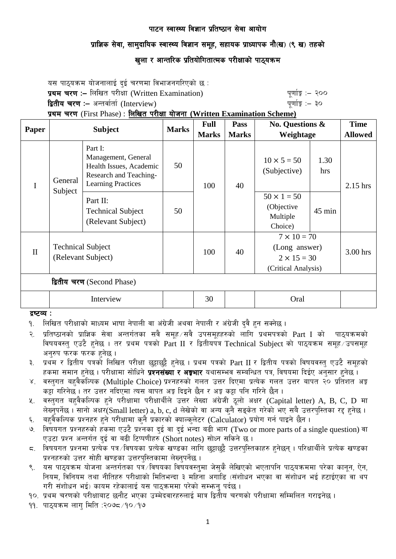## प्राज्ञिक सेवा, सामुदायिक स्वास्थ्य विज्ञान समुह, सहायक प्राध्यापक नौ(ख) (९ ख) तहको

# खुला र आन्तरिक प्रतियोगितात्मक परीक्षाको पाठ्यक्र**म**

यस पाठ्यक्रम योजनालाई दुई चरणमा विभाजनगरिएको छ : प्रथम चरण :- लिखित परीक्षा (Written Examination) x 200 पुर्णाङ्क :- २०० द्वितीय चरण :– अन्तर्वार्ता (Interview) kan had a set of the set of the set of  $q$ णांङ्क :– ३० प्रथम चरण (First Phase) : लिखित परीक्षा योजना (Written Examination Scheme)

| Paper                      | <b>Subject</b>                                 |                                                                                                                  | <b>Marks</b> | <b>Full</b><br><b>Marks</b> | <b>Pass</b><br><b>Marks</b> | No. Questions &<br>Weightage                                                     |             | <b>Time</b><br><b>Allowed</b> |
|----------------------------|------------------------------------------------|------------------------------------------------------------------------------------------------------------------|--------------|-----------------------------|-----------------------------|----------------------------------------------------------------------------------|-------------|-------------------------------|
| I                          | General<br>Subject                             | Part I:<br>Management, General<br>Health Issues, Academic<br>Research and Teaching-<br><b>Learning Practices</b> | 50           | 100                         | 40                          | $10 \times 5 = 50$<br>(Subjective)                                               | 1.30<br>hrs | $2.15$ hrs                    |
|                            |                                                | Part II:<br><b>Technical Subject</b><br>(Relevant Subject)                                                       | 50           |                             |                             | $50 \times 1 = 50$<br>(Objective<br>Multiple<br>Choice)                          | 45 min      |                               |
| $\mathbf{I}$               | <b>Technical Subject</b><br>(Relevant Subject) |                                                                                                                  |              | 100                         | 40                          | $7 \times 10 = 70$<br>(Long answer)<br>$2 \times 15 = 30$<br>(Critical Analysis) |             | 3.00 hrs                      |
| द्वितीय चरण (Second Phase) |                                                |                                                                                                                  |              |                             |                             |                                                                                  |             |                               |
|                            | Interview                                      |                                                                                                                  |              | 30                          |                             | Oral                                                                             |             |                               |

द्रष्टव्य :

- <u>9. लिखित परीक्षाको माध्यम भाषा नेपाली वा अंग्रेजी अथवा नेपाली र अंग्रेजी दुवै हुन सक्नेछ ।</u>
- २. प्रतिष्ठानको प्राज्ञिक सेवा अन्तर्गतका सवै समह ∕सवै उपसमहहरुको लागि प्रथमपत्रको Part I को पाठयक्रमको विषयवस्त् एउटै हुनेछ । तर प्रथम पत्रको Part II र द्वितीयपत्र Technical Subject को पाठ्यक्रम समूह उपसमूह अनरुप फरक फरक हनेछ ।
- ३. प्रथम र द्वितीय पत्रको लिखित परीक्षा छट्टाछट्टै हनेछ । प्रथम पत्रको Part II र द्वितीय पत्रको विषयवस्त् एउटै समुहको हकमा समान हुनेछ । परीक्षामा सोधिने **प्रश्नसंख्या र अङ्गभार** यथासम्भव सम्बन्धित पत्र, विषयमा दिईए अनुसार हुनेछ ।
- ४. वस्तगत बहवैकस्पिक (Multiple Choice) प्रश्नहरुको गलत उत्तर दिएमा प्रत्येक गलत उत्तर बापत २० प्रतिशत अङ्क कट्टा गरिनेछ । तर उत्तर नदिएमा त्यस बापत अङ्ग दिइने छैन र अङ्ग कट्टा पनि गरिने छैन ।
- x. वस्तुगत बहवैकल्पिक हुने परीक्षामा परीक्षार्थीले उत्तर लेख्दा अंग्रेजी ठूलो अक्षर (Capital letter) A, B, C, D मा लेख्नुपर्नेछ। सानो अक्षर $(Small$  letter) a, b, c, d लेखेको वा अन्य कुनै सङ्केत गरेको भए सबै उत्तरपुस्तिका रद्द हुनेछ।
- ६. वहवैकल्पिक प्रश्नहरु हुने परीक्षामा कुनै प्रकारको क्याल्कलेटर (Calculator) प्रयोग गर्न पाइने छैन ।
- 7. little kizdf and the Cabin and Cabin and Cabin and Cabin and the parts of a single question) वा विषयगत प्रश्नहरुको हकमा एउटै प्रश्नका दुई वा दुई भन्दा बढी भाग (Two or more parts of a single question) वा एउटा प्रश्न अन्तर्गत दई वा बढी टिप्पणीहरु (Short notes) सोध्न सकिने छ।
- $\,$ द. विषयगत प्रश्नमा प्रत्येक पत्र विषयका प्रत्येक खण्डका लागि छट्टाछट्टै उत्तरपस्तिकाहरु हनेछन् । परिक्षार्थीले प्रत्येक खण्डका प्रश्नहरुको उत्तर सोही खण्डका उत्तरपस्तिकामा लेख्नुपर्नेछ ।
- 9. o; kf7\oqma ofinitor = 5. ofinitoriis<br>९. यस पाठ्यक्रम योजना अन्तर्गतका पत्र ∕विषयका विषयवस्तुमा जेसुकै लेखिएको भएतापनि पाठ्यक्रममा परेका कानून, ऐन, नियम, विनियम तथा नीतिहरु परीक्षाको मितिभन्दा ३ महिना अगाडि (संशोधन भएका वा संशोधन भई हटाईएका वा थप गरी संशोधन भई) कायम रहेकालाई यस पाठुकममा परेको सम्भन् पर्दछ ।

१०. प्रथम चरणको परीक्षाबाट छनौट भएका उम्मेदवारहरुलाई मात्र द्वितीय चरणको परीक्षामा सम्मिलित गराइनेछ ।

 $99.$  पाठयक्रम लाग मिति :२०७८/१०/१७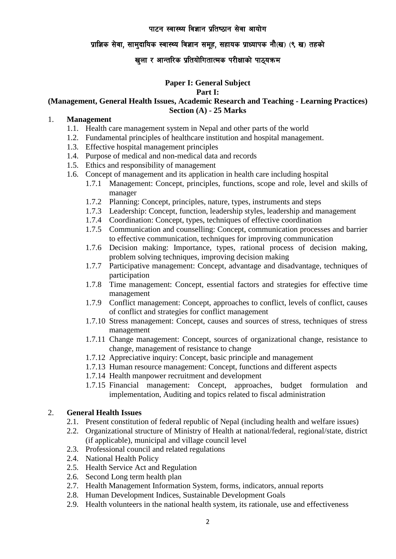## प्राज्ञिक सेवा, सामुदायिक स्वास्थ्य विज्ञान समुह, सहायक प्राध्यापक नौ(ख) (९ ख) तहको

## खुला र आन्तरिक प्रतियोगितात्मक परीक्षाको पाठ्यक्रम

#### **Paper I: General Subject Part I:**

## **(Management, General Health Issues, Academic Research and Teaching - Learning Practices) Section (A) - 25 Marks**

#### 1. **Management**

- 1.1. Health care management system in Nepal and other parts of the world
- 1.2. Fundamental principles of healthcare institution and hospital management.
- 1.3. Effective hospital management principles
- 1.4. Purpose of medical and non-medical data and records
- 1.5. Ethics and responsibility of management
- 1.6. Concept of management and its application in health care including hospital
	- 1.7.1 Management: Concept, principles, functions, scope and role, level and skills of manager
	- 1.7.2 Planning: Concept, principles, nature, types, instruments and steps
	- 1.7.3 Leadership: Concept, function, leadership styles, leadership and management
	- 1.7.4 Coordination: Concept, types, techniques of effective coordination
	- 1.7.5 Communication and counselling: Concept, communication processes and barrier to effective communication, techniques for improving communication
	- 1.7.6 Decision making: Importance, types, rational process of decision making, problem solving techniques, improving decision making
	- 1.7.7 Participative management: Concept, advantage and disadvantage, techniques of participation
	- 1.7.8 Time management: Concept, essential factors and strategies for effective time management
	- 1.7.9 Conflict management: Concept, approaches to conflict, levels of conflict, causes of conflict and strategies for conflict management
	- 1.7.10 Stress management: Concept, causes and sources of stress, techniques of stress management
	- 1.7.11 Change management: Concept, sources of organizational change, resistance to change, management of resistance to change
	- 1.7.12 Appreciative inquiry: Concept, basic principle and management
	- 1.7.13 Human resource management: Concept, functions and different aspects
	- 1.7.14 Health manpower recruitment and development
	- 1.7.15 Financial management: Concept, approaches, budget formulation and implementation, Auditing and topics related to fiscal administration

## 2. **General Health Issues**

- 2.1. Present constitution of federal republic of Nepal (including health and welfare issues)
- 2.2. Organizational structure of Ministry of Health at national/federal, regional/state, district (if applicable), municipal and village council level
- 2.3. Professional council and related regulations
- 2.4. National Health Policy
- 2.5. Health Service Act and Regulation
- 2.6. Second Long term health plan
- 2.7. Health Management Information System, forms, indicators, annual reports
- 2.8. Human Development Indices, Sustainable Development Goals
- 2.9. Health volunteers in the national health system, its rationale, use and effectiveness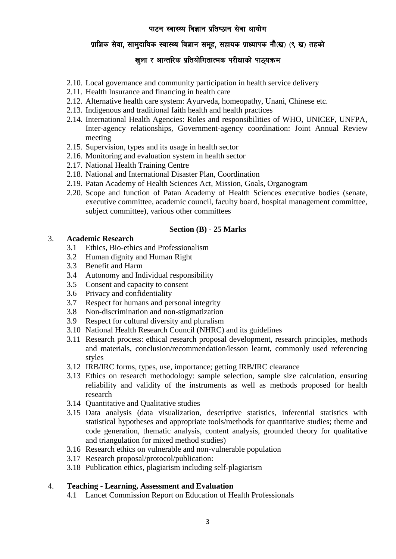## प्राज्ञिक सेवा, सामुदायिक स्वास्थ्य विज्ञान समुह, सहायक प्राध्यापक नौ(ख) (९ ख) तहको

# खुला र आन्तरिक प्रतियोगितात्मक परीक्षाको पाठ्यक्रम

- 2.10. Local governance and community participation in health service delivery
- 2.11. Health Insurance and financing in health care
- 2.12. Alternative health care system: Ayurveda, homeopathy, Unani, Chinese etc.
- 2.13. Indigenous and traditional faith health and health practices
- 2.14. International Health Agencies: Roles and responsibilities of WHO, UNICEF, UNFPA, Inter-agency relationships, Government-agency coordination: Joint Annual Review meeting
- 2.15. Supervision, types and its usage in health sector
- 2.16. Monitoring and evaluation system in health sector
- 2.17. National Health Training Centre
- 2.18. National and International Disaster Plan, Coordination
- 2.19. Patan Academy of Health Sciences Act, Mission, Goals, Organogram
- 2.20. Scope and function of Patan Academy of Health Sciences executive bodies (senate, executive committee, academic council, faculty board, hospital management committee, subject committee), various other committees

#### **Section (B) - 25 Marks**

### 3. **Academic Research**

- 3.1 Ethics, Bio-ethics and Professionalism
- 3.2 Human dignity and Human Right
- 3.3 Benefit and Harm
- 3.4 Autonomy and Individual responsibility
- 3.5 Consent and capacity to consent
- 3.6 Privacy and confidentiality
- 3.7 Respect for humans and personal integrity
- 3.8 Non-discrimination and non-stigmatization
- 3.9 Respect for cultural diversity and pluralism
- 3.10 National Health Research Council (NHRC) and its guidelines
- 3.11 Research process: ethical research proposal development, research principles, methods and materials, conclusion/recommendation/lesson learnt, commonly used referencing styles
- 3.12 IRB/IRC forms, types, use, importance; getting IRB/IRC clearance
- 3.13 Ethics on research methodology: sample selection, sample size calculation, ensuring reliability and validity of the instruments as well as methods proposed for health research
- 3.14 Quantitative and Qualitative studies
- 3.15 Data analysis (data visualization, descriptive statistics, inferential statistics with statistical hypotheses and appropriate tools/methods for quantitative studies; theme and code generation, thematic analysis, content analysis, grounded theory for qualitative and triangulation for mixed method studies)
- 3.16 Research ethics on vulnerable and non-vulnerable population
- 3.17 Research proposal/protocol/publication:
- 3.18 Publication ethics, plagiarism including self-plagiarism

#### 4. **Teaching - Learning, Assessment and Evaluation**

4.1 Lancet Commission Report on Education of Health Professionals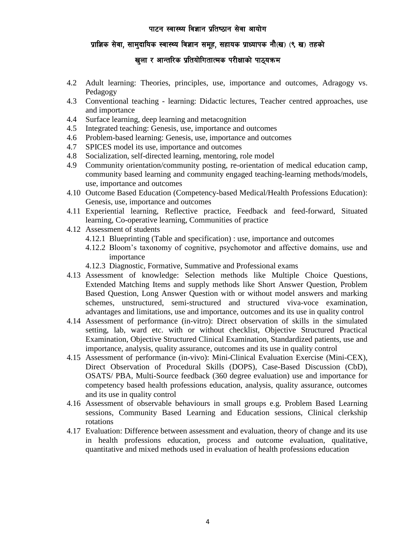## प्राज्ञिक सेवा, सामुदायिक स्वास्थ्य विज्ञान समुह, सहायक प्राध्यापक नौ(ख) (९ ख) तहको

# खुला र आन्तरिक प्रतियोगितात्मक परीक्षाको पाठ्यक्रम

- 4.2 Adult learning: Theories, principles, use, importance and outcomes, Adragogy vs. Pedagogy
- 4.3 Conventional teaching learning: Didactic lectures, Teacher centred approaches, use and importance
- 4.4 Surface learning, deep learning and metacognition
- 4.5 Integrated teaching: Genesis, use, importance and outcomes
- 4.6 Problem-based learning: Genesis, use, importance and outcomes
- 4.7 SPICES model its use, importance and outcomes
- 4.8 Socialization, self-directed learning, mentoring, role model
- 4.9 Community orientation/community posting, re-orientation of medical education camp, community based learning and community engaged teaching-learning methods/models, use, importance and outcomes
- 4.10 Outcome Based Education (Competency-based Medical/Health Professions Education): Genesis, use, importance and outcomes
- 4.11 Experiential learning, Reflective practice, Feedback and feed-forward, Situated learning, Co-operative learning, Communities of practice
- 4.12 Assessment of students
	- 4.12.1 Blueprinting (Table and specification) : use, importance and outcomes
	- 4.12.2 Bloom's taxonomy of cognitive, psychomotor and affective domains, use and importance
	- 4.12.3 Diagnostic, Formative, Summative and Professional exams
- 4.13 Assessment of knowledge: Selection methods like Multiple Choice Questions, Extended Matching Items and supply methods like Short Answer Question, Problem Based Question, Long Answer Question with or without model answers and marking schemes, unstructured, semi-structured and structured viva-voce examination, advantages and limitations, use and importance, outcomes and its use in quality control
- 4.14 Assessment of performance (in-vitro): Direct observation of skills in the simulated setting, lab, ward etc. with or without checklist, Objective Structured Practical Examination, Objective Structured Clinical Examination, Standardized patients, use and importance, analysis, quality assurance, outcomes and its use in quality control
- 4.15 Assessment of performance (in-vivo): Mini-Clinical Evaluation Exercise (Mini-CEX), Direct Observation of Procedural Skills (DOPS), Case-Based Discussion (CbD), OSATS/ PBA, Multi-Source feedback (360 degree evaluation) use and importance for competency based health professions education, analysis, quality assurance, outcomes and its use in quality control
- 4.16 Assessment of observable behaviours in small groups e.g. Problem Based Learning sessions, Community Based Learning and Education sessions, Clinical clerkship rotations
- 4.17 Evaluation: Difference between assessment and evaluation, theory of change and its use in health professions education, process and outcome evaluation, qualitative, quantitative and mixed methods used in evaluation of health professions education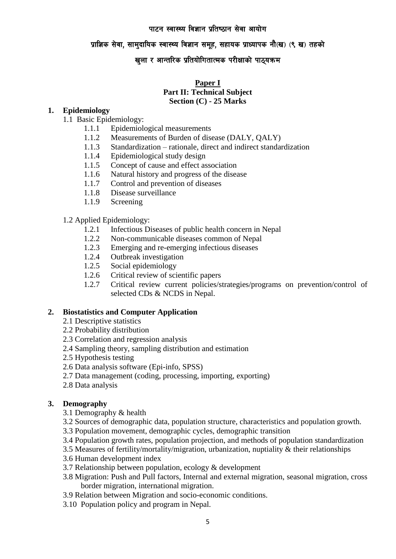## प्राज्ञिक सेवा, सामुदायिक स्वास्थ्य विज्ञान समुह, सहायक प्राध्यापक नौ(ख) (९ ख) तहको

## खुला र आन्तरिक प्रतियोगितात्मक परीक्षाको पाठ्यक्रम

## **Paper I Part II: Technical Subject Section (C) - 25 Marks**

#### **1. Epidemiology**

- 1.1 Basic Epidemiology:
	- 1.1.1 Epidemiological measurements
	- 1.1.2 Measurements of Burden of disease (DALY, QALY)
	- 1.1.3 Standardization rationale, direct and indirect standardization
	- 1.1.4 Epidemiological study design
	- 1.1.5 Concept of cause and effect association
	- 1.1.6 Natural history and progress of the disease
	- 1.1.7 Control and prevention of diseases
	- 1.1.8 Disease surveillance
	- 1.1.9 Screening

#### 1.2 Applied Epidemiology:

- 1.2.1 Infectious Diseases of public health concern in Nepal
- 1.2.2 Non-communicable diseases common of Nepal
- 1.2.3 Emerging and re-emerging infectious diseases
- 1.2.4 Outbreak investigation
- 1.2.5 Social epidemiology
- 1.2.6 Critical review of scientific papers
- 1.2.7 Critical review current policies/strategies/programs on prevention/control of selected CDs & NCDS in Nepal.

## **2. Biostatistics and Computer Application**

- 2.1 Descriptive statistics
- 2.2 Probability distribution
- 2.3 Correlation and regression analysis
- 2.4 Sampling theory, sampling distribution and estimation
- 2.5 Hypothesis testing
- 2.6 Data analysis software (Epi-info, SPSS)
- 2.7 Data management (coding, processing, importing, exporting)
- 2.8 Data analysis

## **3. Demography**

- 3.1 Demography & health
- 3.2 Sources of demographic data, population structure, characteristics and population growth.
- 3.3 Population movement, demographic cycles, demographic transition
- 3.4 Population growth rates, population projection, and methods of population standardization
- 3.5 Measures of fertility/mortality/migration, urbanization, nuptiality & their relationships
- 3.6 Human development index
- 3.7 Relationship between population, ecology & development
- 3.8 Migration: Push and Pull factors, Internal and external migration, seasonal migration, cross border migration, international migration.
- 3.9 Relation between Migration and socio-economic conditions.
- 3.10 Population policy and program in Nepal.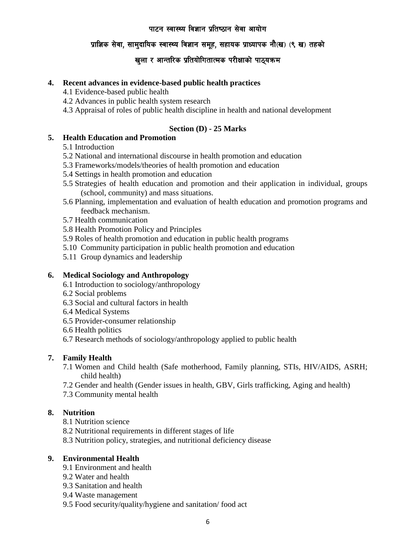## प्राज्ञिक सेवा, सामुदायिक स्वास्थ्य विज्ञान समुह, सहायक प्राध्यापक नौ(ख) (९ ख) तहको

# खुला र आन्तरिक प्रतियोगितात्मक परीक्षाको पाठ्यक्रम

#### **4. Recent advances in evidence-based public health practices**

- 4.1 Evidence-based public health
- 4.2 Advances in public health system research
- 4.3 Appraisal of roles of public health discipline in health and national development

## **Section (D) - 25 Marks**

### **5. Health Education and Promotion**

- 5.1 Introduction
- 5.2 National and international discourse in health promotion and education
- 5.3 Frameworks/models/theories of health promotion and education
- 5.4 Settings in health promotion and education
- 5.5 Strategies of health education and promotion and their application in individual, groups (school, community) and mass situations.
- 5.6 Planning, implementation and evaluation of health education and promotion programs and feedback mechanism.
- 5.7 Health communication
- 5.8 Health Promotion Policy and Principles
- 5.9 Roles of health promotion and education in public health programs
- 5.10 Community participation in public health promotion and education
- 5.11 Group dynamics and leadership

#### **6. Medical Sociology and Anthropology**

- 6.1 Introduction to sociology/anthropology
- 6.2 Social problems
- 6.3 Social and cultural factors in health
- 6.4 Medical Systems
- 6.5 Provider-consumer relationship
- 6.6 Health politics
- 6.7 Research methods of sociology/anthropology applied to public health

## **7. Family Health**

- 7.1 Women and Child health (Safe motherhood, Family planning, STIs, HIV/AIDS, ASRH; child health)
- 7.2 Gender and health (Gender issues in health, GBV, Girls trafficking, Aging and health)
- 7.3 Community mental health

#### **8. Nutrition**

- 8.1 Nutrition science
- 8.2 Nutritional requirements in different stages of life
- 8.3 Nutrition policy, strategies, and nutritional deficiency disease

## **9. Environmental Health**

- 9.1 Environment and health
- 9.2 Water and health
- 9.3 Sanitation and health
- 9.4 Waste management
- 9.5 Food security/quality/hygiene and sanitation/ food act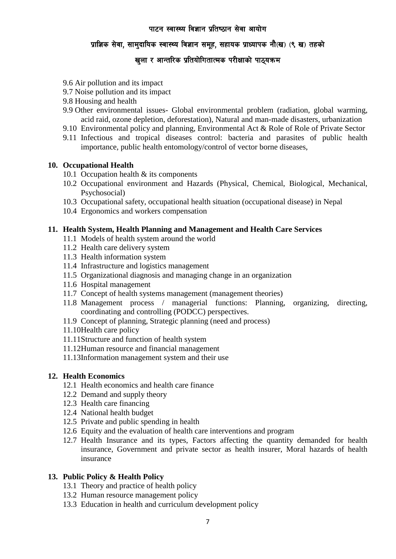## प्राज्ञिक सेवा, सामुदायिक स्वास्थ्य विज्ञान समुह, सहायक प्राध्यापक नौ(ख) (९ ख) तहको

# खुला र आन्तरिक प्रतियोगितात्मक परीक्षाको पाठ्यक्र**म**

- 9.6 Air pollution and its impact
- 9.7 Noise pollution and its impact
- 9.8 Housing and health
- 9.9 Other environmental issues- Global environmental problem (radiation, global warming, acid raid, ozone depletion, deforestation), Natural and man-made disasters, urbanization
- 9.10 Environmental policy and planning, Environmental Act & Role of Role of Private Sector
- 9.11 Infectious and tropical diseases control: bacteria and parasites of public health importance, public health entomology/control of vector borne diseases,

#### **10. Occupational Health**

- 10.1 Occupation health & its components
- 10.2 Occupational environment and Hazards (Physical, Chemical, Biological, Mechanical, Psychosocial)
- 10.3 Occupational safety, occupational health situation (occupational disease) in Nepal
- 10.4 Ergonomics and workers compensation

#### **11. Health System, Health Planning and Management and Health Care Services**

- 11.1 Models of health system around the world
- 11.2 Health care delivery system
- 11.3 Health information system
- 11.4 Infrastructure and logistics management
- 11.5 Organizational diagnosis and managing change in an organization
- 11.6 Hospital management
- 11.7 Concept of health systems management (management theories)
- 11.8 Management process / managerial functions: Planning, organizing, directing, coordinating and controlling (PODCC) perspectives.
- 11.9 Concept of planning, Strategic planning (need and process)
- 11.10Health care policy
- 11.11Structure and function of health system
- 11.12Human resource and financial management
- 11.13Information management system and their use

## **12. Health Economics**

- 12.1 Health economics and health care finance
- 12.2 Demand and supply theory
- 12.3 Health care financing
- 12.4 National health budget
- 12.5 Private and public spending in health
- 12.6 Equity and the evaluation of health care interventions and program
- 12.7 Health Insurance and its types, Factors affecting the quantity demanded for health insurance, Government and private sector as health insurer, Moral hazards of health insurance

## **13. Public Policy & Health Policy**

- 13.1 Theory and practice of health policy
- 13.2 Human resource management policy
- 13.3 Education in health and curriculum development policy